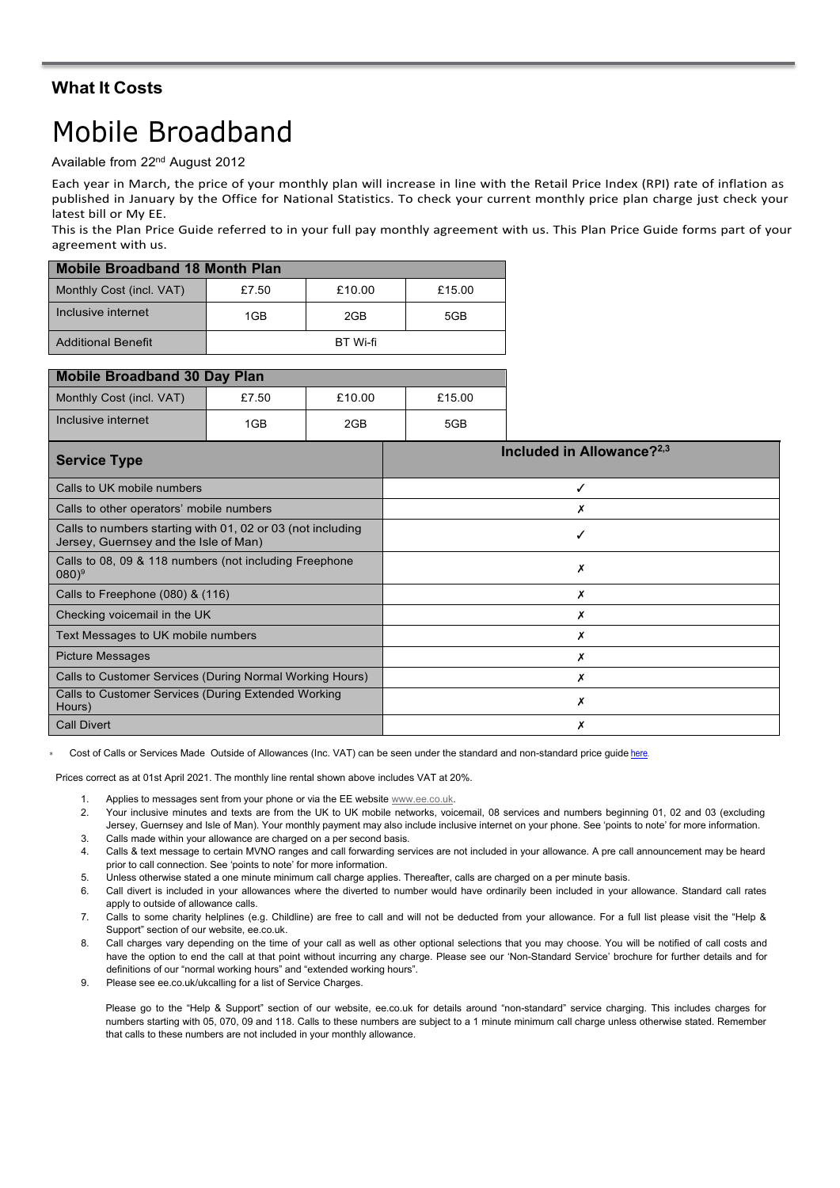### **What It Costs**

# Mobile Broadband

Available from 22nd August 2012

Each year in March, the price of your monthly plan will increase in line with the Retail Price Index (RPI) rate of inflation as published in January by the Office for National Statistics. To check your current monthly price plan charge just check your latest bill or My EE.

This is the Plan Price Guide referred to in your full pay monthly agreement with us. This Plan Price Guide forms part of your agreement with us.

| <b>Mobile Broadband 18 Month Plan</b> |       |                 |        |  |
|---------------------------------------|-------|-----------------|--------|--|
| Monthly Cost (incl. VAT)              | £7.50 | £10.00          | £15.00 |  |
| Inclusive internet                    | 1GB   | 2GB             | 5GB    |  |
| <b>Additional Benefit</b>             |       | <b>BT</b> Wi-fi |        |  |

| <b>Mobile Broadband 30 Day Plan</b> |       |        |        |  |
|-------------------------------------|-------|--------|--------|--|
| Monthly Cost (incl. VAT)            | £7.50 | £10.00 | £15.00 |  |
| Inclusive internet                  | 1GB   | 2GB    | 5GB    |  |

| <b>Service Type</b>                                                                                 | Included in Allowance? $2,3$ |
|-----------------------------------------------------------------------------------------------------|------------------------------|
| Calls to UK mobile numbers                                                                          | ✓                            |
| Calls to other operators' mobile numbers                                                            |                              |
| Calls to numbers starting with 01, 02 or 03 (not including<br>Jersey, Guernsey and the Isle of Man) |                              |
| Calls to 08, 09 & 118 numbers (not including Freephone<br>$(080)^9$                                 | х                            |
| Calls to Freephone (080) & (116)                                                                    |                              |
| Checking voicemail in the UK                                                                        |                              |
| Text Messages to UK mobile numbers                                                                  | Х                            |
| <b>Picture Messages</b>                                                                             |                              |
| Calls to Customer Services (During Normal Working Hours)                                            |                              |
| Calls to Customer Services (During Extended Working<br>Hours)                                       |                              |
| <b>Call Divert</b>                                                                                  |                              |

Cost of Calls or Services Made Outside of Allowances (Inc. VAT) can be seen under the standard and non-standard price quide [here.](https://ee.co.uk/help/help-new/price-plans/legacy-brand/pay-monthly-price-plans)

Prices correct as at 01st April 2021. The monthly line rental shown above includes VAT at 20%.

- 1. Applies to messages sent from your phone or via the EE website  $\frac{www.ee.co.uk}{12}$ .<br>2 Your inclusive minutes and texts are from the UK to UK mobile networks voic
- 2. Your inclusive minutes and texts are from the UK to UK mobile networks, voicemail, 08 services and numbers beginning 01, 02 and 03 (excluding Jersey, Guernsey and Isle of Man). Your monthly payment may also include inclusive internet on your phone. See 'points to note' for more information.
- 3. Calls made within your allowance are charged on a per second basis.
- 4. Calls & text message to certain MVNO ranges and call forwarding services are not included in your allowance. A pre call announcement may be heard prior to call connection. See 'points to note' for more information.
- 5. Unless otherwise stated a one minute minimum call charge applies. Thereafter, calls are charged on a per minute basis.
- 6. Call divert is included in your allowances where the diverted to number would have ordinarily been included in your allowance. Standard call rates apply to outside of allowance calls.
- 7. Calls to some charity helplines (e.g. Childline) are free to call and will not be deducted from your allowance. For a full list please visit the "Help & Support" section of our website, ee.co.uk.
- 8. Call charges vary depending on the time of your call as well as other optional selections that you may choose. You will be notified of call costs and have the option to end the call at that point without incurring any charge. Please see our 'Non-Standard Service' brochure for further details and for definitions of our "normal working hours" and "extended working hours".
- 9. Please see ee.co.uk/ukcalling for a list of Service Charges.

Please go to the "Help & Support" section of our website, ee.co.uk for details around "non-standard" service charging. This includes charges for numbers starting with 05, 070, 09 and 118. Calls to these numbers are subject to a 1 minute minimum call charge unless otherwise stated. Remember that calls to these numbers are not included in your monthly allowance.